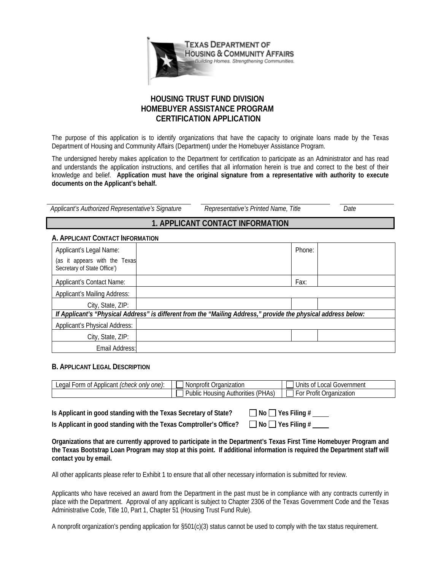

## **HOUSING TRUST FUND DIVISION HOMEBUYER ASSISTANCE PROGRAM CERTIFICATION APPLICATION**

The purpose of this application is to identify organizations that have the capacity to originate loans made by the Texas Department of Housing and Community Affairs (Department) under the Homebuyer Assistance Program.

The undersigned hereby makes application to the Department for certification to participate as an Administrator and has read and understands the application instructions, and certifies that all information herein is true and correct to the best of their knowledge and belief. **Application must have the original signature from a representative with authority to execute documents on the Applicant's behalf.**

*Applicant's Authorized Representative's Signature Representative's Printed Name, Title Date* 

# **1. APPLICANT CONTACT INFORMATION**

## **A. APPLICANT CONTACT INFORMATION**

| Applicant's Legal Name:<br>(as it appears with the Texas                                                       |  | Phone: |  |  |
|----------------------------------------------------------------------------------------------------------------|--|--------|--|--|
| Secretary of State Office')                                                                                    |  |        |  |  |
| <b>Applicant's Contact Name:</b>                                                                               |  | Fax:   |  |  |
| Applicant's Mailing Address:                                                                                   |  |        |  |  |
| City, State, ZIP:                                                                                              |  |        |  |  |
| If Applicant's "Physical Address" is different from the "Mailing Address," provide the physical address below: |  |        |  |  |
| <b>Applicant's Physical Address:</b>                                                                           |  |        |  |  |
| City, State, ZIP:                                                                                              |  |        |  |  |
| Email Address:                                                                                                 |  |        |  |  |

## **B. APPLICANT LEGAL DESCRIPTION**

| only one):<br>. orm<br>(check-<br>anar<br>Applicant<br>0t | Organization<br>Nonprofit '                                   | Government<br><b>Jnits</b><br>ocal<br>0t        |
|-----------------------------------------------------------|---------------------------------------------------------------|-------------------------------------------------|
|                                                           | 'PHAS,<br>-<br>Public<br>horities<br>usino<br>Autr<br>ำ H0น.⊾ | $\sim$<br>Organization<br>⊃r∩tı*<br>F or<br>OHL |

**Is Applicant in good standing with the Texas Secretary of State?**  $\Box$  No  $\Box$  Yes Filing # Is Applicant in good standing with the Texas Comptroller's Office?  $\Box$  No  $\Box$  Yes Filing #

**Organizations that are currently approved to participate in the Department's Texas First Time Homebuyer Program and the Texas Bootstrap Loan Program may stop at this point. If additional information is required the Department staff will contact you by email.** 

All other applicants please refer to Exhibit 1 to ensure that all other necessary information is submitted for review.

Applicants who have received an award from the Department in the past must be in compliance with any contracts currently in place with the Department. Approval of any applicant is subject to Chapter 2306 of the Texas Government Code and the Texas Administrative Code, Title 10, Part 1, Chapter 51 (Housing Trust Fund Rule).

A nonprofit organization's pending application for §501(c)(3) status cannot be used to comply with the tax status requirement.